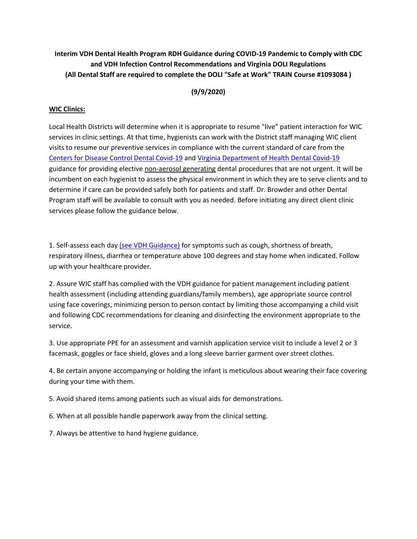## **Interim VDH Dental Health Program RDH Guidance during COVID-19 Pandemic to Comply with CDC and VDH Infection Control Recommendations and Virginia DOLI Regulations (All Dental Staff are required to complete the DOLI "Safe at Work" TRAIN Course #1093084 )**

**(9/9/2020)**

## **WIC Clinics:**

Local Health Districts will determine when it is appropriate to resume "live" patient interaction for WIC services in clinic settings. At that time, hygienists can work with the District staff managing WIC client visits to resume our preventive services in compliance with the current standard of care from the [Centers for Disease Control Dental Covid-19](https://www.cdc.gov/coronavirus/2019-ncov/hcp/dental-settings.html) and [Virginia Department of Health Dental Covid-19](https://www.vdh.virginia.gov/content/uploads/sites/182/2020/06/COVID_19_-Dental-Guidance.pdf) guidance for providing elective non-aerosol generating dental procedures that are not urgent. It will be incumbent on each hygienist to assess the physical environment in which they are to serve clients and to determine if care can be provided safely both for patients and staff. Dr. Browder and other Dental Program staff will be available to consult with you as needed. Before initiating any direct client clinic services please follow the guidance below.

1. Self-assess each day [\(see VDH Guidance\)](https://www.vdh.virginia.gov/content/uploads/sites/182/2020/06/COVID_19_-Dental-Guidance.pdf) for symptoms such as cough, shortness of breath, respiratory illness, diarrhea or temperature above 100 degrees and stay home when indicated. Follow up with your healthcare provider.

2. Assure WIC staff has complied with the VDH guidance for patient management including patient health assessment (including attending guardians/family members), age appropriate source control using face coverings, minimizing person to person contact by limiting those accompanying a child visit and following CDC recommendations for cleaning and disinfecting the environment appropriate to the service.

3. Use appropriate PPE for an assessment and varnish application service visit to include a level 2 or 3 facemask, goggles or face shield, gloves and a long sleeve barrier garment over street clothes.

4. Be certain anyone accompanying or holding the infant is meticulous about wearing their face covering during your time with them.

5. Avoid shared items among patients such as visual aids for demonstrations.

6. When at all possible handle paperwork away from the clinical setting.

7. Always be attentive to hand hygiene guidance.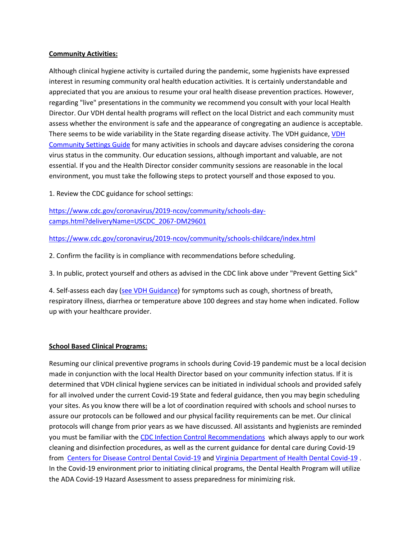## **Community Activities:**

Although clinical hygiene activity is curtailed during the pandemic, some hygienists have expressed interest in resuming community oral health education activities. It is certainly understandable and appreciated that you are anxious to resume your oral health disease prevention practices. However, regarding "live" presentations in the community we recommend you consult with your local Health Director. Our VDH dental health programs will reflect on the local District and each community must assess whether the environment is safe and the appearance of congregating an audience is acceptable. There seems to be wide variability in the State regarding disease activity. The VDH guidance, [VDH](https://www.vdh.virginia.gov/coronavirus/schools-workplaces-community-locations/crosswalk-table/)  [Community Settings Guide](https://www.vdh.virginia.gov/coronavirus/schools-workplaces-community-locations/crosswalk-table/) for many activities in schools and daycare advises considering the corona virus status in the community. Our education sessions, although important and valuable, are not essential. If you and the Health Director consider community sessions are reasonable in the local environment, you must take the following steps to protect yourself and those exposed to you.

1. Review the CDC guidance for school settings:

[https://www.cdc.gov/coronavirus/2019-ncov/community/schools-day](https://www.cdc.gov/coronavirus/2019-ncov/community/schools-day-camps.html?deliveryName=USCDC_2067-DM29601)[camps.html?deliveryName=USCDC\\_2067-DM29601](https://www.cdc.gov/coronavirus/2019-ncov/community/schools-day-camps.html?deliveryName=USCDC_2067-DM29601)

<https://www.cdc.gov/coronavirus/2019-ncov/community/schools-childcare/index.html>

2. Confirm the facility is in compliance with recommendations before scheduling.

3. In public, protect yourself and others as advised in the CDC link above under "Prevent Getting Sick"

4. Self-assess each day [\(see VDH Guidance\)](https://www.vdh.virginia.gov/content/uploads/sites/182/2020/06/COVID_19_-Dental-Guidance.pdf) for symptoms such as cough, shortness of breath, respiratory illness, diarrhea or temperature above 100 degrees and stay home when indicated. Follow up with your healthcare provider.

## **School Based Clinical Programs:**

Resuming our clinical preventive programs in schools during Covid-19 pandemic must be a local decision made in conjunction with the local Health Director based on your community infection status. If it is determined that VDH clinical hygiene services can be initiated in individual schools and provided safely for all involved under the current Covid-19 State and federal guidance, then you may begin scheduling your sites. As you know there will be a lot of coordination required with schools and school nurses to assure our protocols can be followed and our physical facility requirements can be met. Our clinical protocols will change from prior years as we have discussed. All assistants and hygienists are reminded you must be familiar with the [CDC Infection Control Recommendations](https://www.cdc.gov/oralhealth/infectioncontrol/pdf/recommendations-excerpt.pdf) which always apply to our work cleaning and disinfection procedures, as well as the current guidance for dental care during Covid-19 from [Centers for Disease Control Dental Covid-19](https://www.cdc.gov/coronavirus/2019-ncov/hcp/dental-settings.html) an[d Virginia Department of Health Dental Covid-19](https://www.vdh.virginia.gov/content/uploads/sites/182/2020/06/COVID_19_-Dental-Guidance.pdf) . In the Covid-19 environment prior to initiating clinical programs, the Dental Health Program will utilize the ADA Covid-19 Hazard Assessment to assess preparedness for minimizing risk.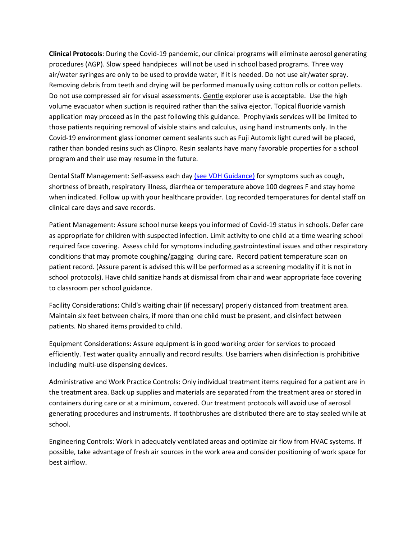**Clinical Protocols**: During the Covid-19 pandemic, our clinical programs will eliminate aerosol generating procedures (AGP). Slow speed handpieces will not be used in school based programs. Three way air/water syringes are only to be used to provide water, if it is needed. Do not use air/water spray. Removing debris from teeth and drying will be performed manually using cotton rolls or cotton pellets. Do not use compressed air for visual assessments. Gentle explorer use is acceptable. Use the high volume evacuator when suction is required rather than the saliva ejector. Topical fluoride varnish application may proceed as in the past following this guidance. Prophylaxis services will be limited to those patients requiring removal of visible stains and calculus, using hand instruments only. In the Covid-19 environment glass ionomer cement sealants such as Fuji Automix light cured will be placed, rather than bonded resins such as Clinpro. Resin sealants have many favorable properties for a school program and their use may resume in the future.

Dental Staff Management: Self-assess each day [\(see VDH Guidance\)](https://www.vdh.virginia.gov/content/uploads/sites/182/2020/06/COVID_19_-Dental-Guidance.pdf) for symptoms such as cough, shortness of breath, respiratory illness, diarrhea or temperature above 100 degrees F and stay home when indicated. Follow up with your healthcare provider. Log recorded temperatures for dental staff on clinical care days and save records.

Patient Management: Assure school nurse keeps you informed of Covid-19 status in schools. Defer care as appropriate for children with suspected infection. Limit activity to one child at a time wearing school required face covering. Assess child for symptoms including gastrointestinal issues and other respiratory conditions that may promote coughing/gagging during care. Record patient temperature scan on patient record. (Assure parent is advised this will be performed as a screening modality if it is not in school protocols). Have child sanitize hands at dismissal from chair and wear appropriate face covering to classroom per school guidance.

Facility Considerations: Child's waiting chair (if necessary) properly distanced from treatment area. Maintain six feet between chairs, if more than one child must be present, and disinfect between patients. No shared items provided to child.

Equipment Considerations: Assure equipment is in good working order for services to proceed efficiently. Test water quality annually and record results. Use barriers when disinfection is prohibitive including multi-use dispensing devices.

Administrative and Work Practice Controls: Only individual treatment items required for a patient are in the treatment area. Back up supplies and materials are separated from the treatment area or stored in containers during care or at a minimum, covered. Our treatment protocols will avoid use of aerosol generating procedures and instruments. If toothbrushes are distributed there are to stay sealed while at school.

Engineering Controls: Work in adequately ventilated areas and optimize air flow from HVAC systems. If possible, take advantage of fresh air sources in the work area and consider positioning of work space for best airflow.